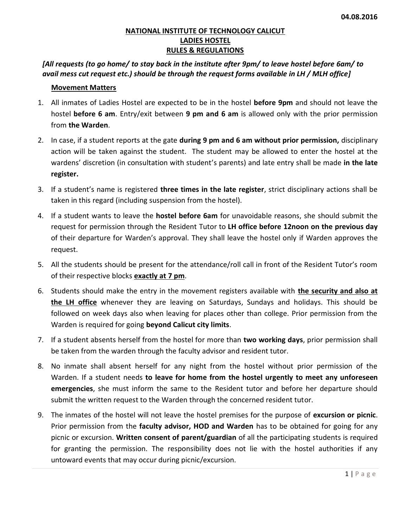### **NATIONAL INSTITUTE OF TECHNOLOGY CALICUT LADIES HOSTEL RULES & REGULATIONS**

# *[All requests (to go home/ to stay back in the institute after 9pm/ to leave hostel before 6am/ to avail mess cut request etc.) should be through the request forms available in LH / MLH office]*

### **Movement Matters**

- 1. All inmates of Ladies Hostel are expected to be in the hostel **before 9pm** and should not leave the hostel **before 6 am**. Entry/exit between **9 pm and 6 am** is allowed only with the prior permission from **the Warden**.
- 2. In case, if a student reports at the gate **during 9 pm and 6 am without prior permission,** disciplinary action will be taken against the student. The student may be allowed to enter the hostel at the wardens' discretion (in consultation with student's parents) and late entry shall be made **in the late register.**
- 3. If a student's name is registered **three times in the late register**, strict disciplinary actions shall be taken in this regard (including suspension from the hostel).
- 4. If a student wants to leave the **hostel before 6am** for unavoidable reasons, she should submit the request for permission through the Resident Tutor to **LH office before 12noon on the previous day** of their departure for Warden's approval. They shall leave the hostel only if Warden approves the request.
- 5. All the students should be present for the attendance/roll call in front of the Resident Tutor's room of their respective blocks **exactly at 7 pm**.
- 6. Students should make the entry in the movement registers available with **the security and also at the LH office** whenever they are leaving on Saturdays, Sundays and holidays. This should be followed on week days also when leaving for places other than college. Prior permission from the Warden is required for going **beyond Calicut city limits**.
- 7. If a student absents herself from the hostel for more than **two working days**, prior permission shall be taken from the warden through the faculty advisor and resident tutor.
- 8. No inmate shall absent herself for any night from the hostel without prior permission of the Warden. If a student needs **to leave for home from the hostel urgently to meet any unforeseen emergencies**, she must inform the same to the Resident tutor and before her departure should submit the written request to the Warden through the concerned resident tutor.
- 9. The inmates of the hostel will not leave the hostel premises for the purpose of **excursion or picnic**. Prior permission from the **faculty advisor, HOD and Warden** has to be obtained for going for any picnic or excursion. **Written consent of parent/guardian** of all the participating students is required for granting the permission. The responsibility does not lie with the hostel authorities if any untoward events that may occur during picnic/excursion.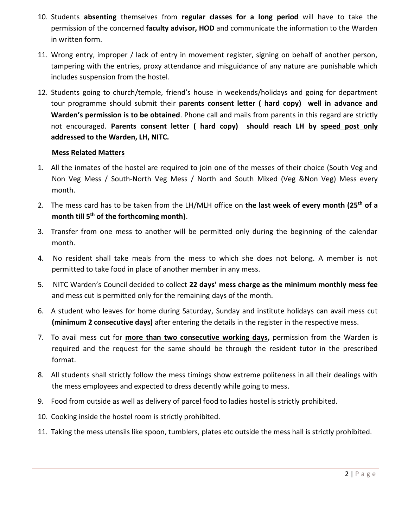- 10. Students **absenting** themselves from **regular classes for a long period** will have to take the permission of the concerned **faculty advisor, HOD** and communicate the information to the Warden in written form.
- 11. Wrong entry, improper / lack of entry in movement register, signing on behalf of another person, tampering with the entries, proxy attendance and misguidance of any nature are punishable which includes suspension from the hostel.
- 12. Students going to church/temple, friend's house in weekends/holidays and going for department tour programme should submit their **parents consent letter ( hard copy) well in advance and Warden's permission is to be obtained**. Phone call and mails from parents in this regard are strictly not encouraged. **Parents consent letter ( hard copy) should reach LH by speed post only addressed to the Warden, LH, NITC.**

# **Mess Related Matters**

- 1. All the inmates of the hostel are required to join one of the messes of their choice (South Veg and Non Veg Mess / South-North Veg Mess / North and South Mixed (Veg &Non Veg) Mess every month.
- 2. The mess card has to be taken from the LH/MLH office on **the last week of every month (25th of a month till 5th of the forthcoming month)**.
- 3. Transfer from one mess to another will be permitted only during the beginning of the calendar month.
- 4. No resident shall take meals from the mess to which she does not belong. A member is not permitted to take food in place of another member in any mess.
- 5. NITC Warden's Council decided to collect **22 days' mess charge as the minimum monthly mess fee**  and mess cut is permitted only for the remaining days of the month.
- 6. A student who leaves for home during Saturday, Sunday and institute holidays can avail mess cut **(minimum 2 consecutive days)** after entering the details in the register in the respective mess.
- 7. To avail mess cut for **more than two consecutive working days,** permission from the Warden is required and the request for the same should be through the resident tutor in the prescribed format.
- 8. All students shall strictly follow the mess timings show extreme politeness in all their dealings with the mess employees and expected to dress decently while going to mess.
- 9. Food from outside as well as delivery of parcel food to ladies hostel is strictly prohibited.
- 10. Cooking inside the hostel room is strictly prohibited.
- 11. Taking the mess utensils like spoon, tumblers, plates etc outside the mess hall is strictly prohibited.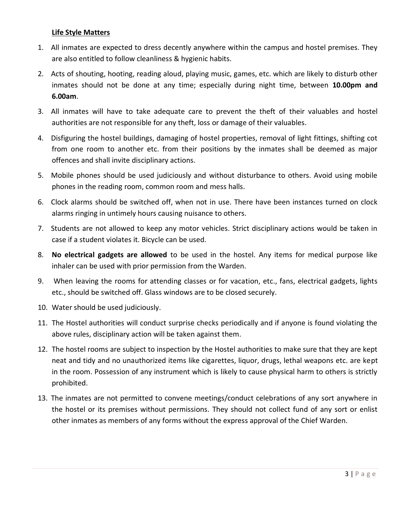### **Life Style Matters**

- 1. All inmates are expected to dress decently anywhere within the campus and hostel premises. They are also entitled to follow cleanliness & hygienic habits.
- 2. Acts of shouting, hooting, reading aloud, playing music, games, etc. which are likely to disturb other inmates should not be done at any time; especially during night time, between **10.00pm and 6.00am**.
- 3. All inmates will have to take adequate care to prevent the theft of their valuables and hostel authorities are not responsible for any theft, loss or damage of their valuables.
- 4. Disfiguring the hostel buildings, damaging of hostel properties, removal of light fittings, shifting cot from one room to another etc. from their positions by the inmates shall be deemed as major offences and shall invite disciplinary actions.
- 5. Mobile phones should be used judiciously and without disturbance to others. Avoid using mobile phones in the reading room, common room and mess halls.
- 6. Clock alarms should be switched off, when not in use. There have been instances turned on clock alarms ringing in untimely hours causing nuisance to others.
- 7. Students are not allowed to keep any motor vehicles. Strict disciplinary actions would be taken in case if a student violates it. Bicycle can be used.
- 8. **No electrical gadgets are allowed** to be used in the hostel. Any items for medical purpose like inhaler can be used with prior permission from the Warden.
- 9. When leaving the rooms for attending classes or for vacation, etc., fans, electrical gadgets, lights etc., should be switched off. Glass windows are to be closed securely.
- 10. Water should be used judiciously.
- 11. The Hostel authorities will conduct surprise checks periodically and if anyone is found violating the above rules, disciplinary action will be taken against them.
- 12. The hostel rooms are subject to inspection by the Hostel authorities to make sure that they are kept neat and tidy and no unauthorized items like cigarettes, liquor, drugs, lethal weapons etc. are kept in the room. Possession of any instrument which is likely to cause physical harm to others is strictly prohibited.
- 13. The inmates are not permitted to convene meetings/conduct celebrations of any sort anywhere in the hostel or its premises without permissions. They should not collect fund of any sort or enlist other inmates as members of any forms without the express approval of the Chief Warden.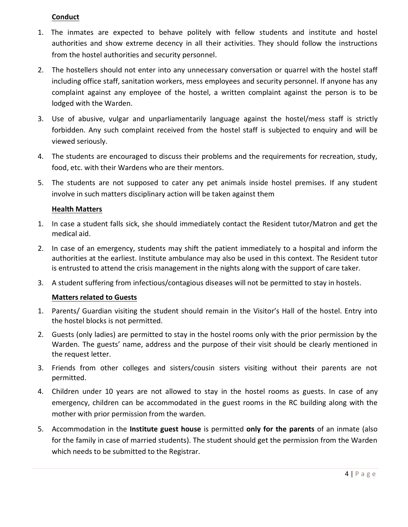### **Conduct**

- 1. The inmates are expected to behave politely with fellow students and institute and hostel authorities and show extreme decency in all their activities. They should follow the instructions from the hostel authorities and security personnel.
- 2. The hostellers should not enter into any unnecessary conversation or quarrel with the hostel staff including office staff, sanitation workers, mess employees and security personnel. If anyone has any complaint against any employee of the hostel, a written complaint against the person is to be lodged with the Warden.
- 3. Use of abusive, vulgar and unparliamentarily language against the hostel/mess staff is strictly forbidden. Any such complaint received from the hostel staff is subjected to enquiry and will be viewed seriously.
- 4. The students are encouraged to discuss their problems and the requirements for recreation, study, food, etc. with their Wardens who are their mentors.
- 5. The students are not supposed to cater any pet animals inside hostel premises. If any student involve in such matters disciplinary action will be taken against them

#### **Health Matters**

- 1. In case a student falls sick, she should immediately contact the Resident tutor/Matron and get the medical aid.
- 2. In case of an emergency, students may shift the patient immediately to a hospital and inform the authorities at the earliest. Institute ambulance may also be used in this context. The Resident tutor is entrusted to attend the crisis management in the nights along with the support of care taker.
- 3. A student suffering from infectious/contagious diseases will not be permitted to stay in hostels.

# **Matters related to Guests**

- 1. Parents/ Guardian visiting the student should remain in the Visitor's Hall of the hostel. Entry into the hostel blocks is not permitted.
- 2. Guests (only ladies) are permitted to stay in the hostel rooms only with the prior permission by the Warden. The guests' name, address and the purpose of their visit should be clearly mentioned in the request letter.
- 3. Friends from other colleges and sisters/cousin sisters visiting without their parents are not permitted.
- 4. Children under 10 years are not allowed to stay in the hostel rooms as guests. In case of any emergency, children can be accommodated in the guest rooms in the RC building along with the mother with prior permission from the warden.
- 5. Accommodation in the **Institute guest house** is permitted **only for the parents** of an inmate (also for the family in case of married students). The student should get the permission from the Warden which needs to be submitted to the Registrar.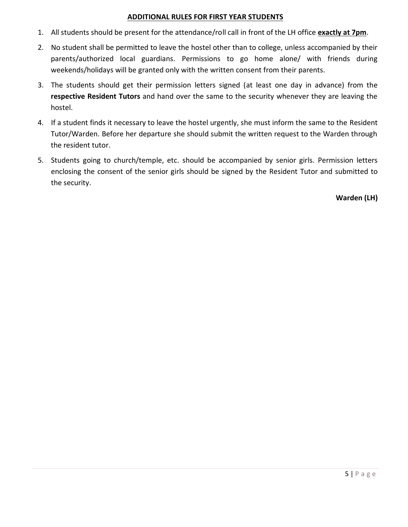#### **ADDITIONAL RULES FOR FIRST YEAR STUDENTS**

- 1. All students should be present for the attendance/roll call in front of the LH office **exactly at 7pm**.
- 2. No student shall be permitted to leave the hostel other than to college, unless accompanied by their parents/authorized local guardians. Permissions to go home alone/ with friends during weekends/holidays will be granted only with the written consent from their parents.
- 3. The students should get their permission letters signed (at least one day in advance) from the **respective Resident Tutors** and hand over the same to the security whenever they are leaving the hostel.
- 4. If a student finds it necessary to leave the hostel urgently, she must inform the same to the Resident Tutor/Warden. Before her departure she should submit the written request to the Warden through the resident tutor.
- 5. Students going to church/temple, etc. should be accompanied by senior girls. Permission letters enclosing the consent of the senior girls should be signed by the Resident Tutor and submitted to the security.

**Warden (LH)**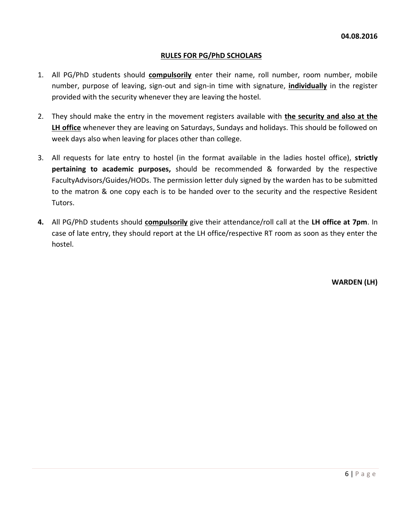### **RULES FOR PG/PhD SCHOLARS**

- 1. All PG/PhD students should **compulsorily** enter their name, roll number, room number, mobile number, purpose of leaving, sign-out and sign-in time with signature, **individually** in the register provided with the security whenever they are leaving the hostel.
- 2. They should make the entry in the movement registers available with **the security and also at the LH office** whenever they are leaving on Saturdays, Sundays and holidays. This should be followed on week days also when leaving for places other than college.
- 3. All requests for late entry to hostel (in the format available in the ladies hostel office), **strictly pertaining to academic purposes,** should be recommended & forwarded by the respective FacultyAdvisors/Guides/HODs. The permission letter duly signed by the warden has to be submitted to the matron & one copy each is to be handed over to the security and the respective Resident Tutors.
- **4.** All PG/PhD students should **compulsorily** give their attendance/roll call at the **LH office at 7pm**. In case of late entry, they should report at the LH office/respective RT room as soon as they enter the hostel.

**WARDEN (LH)**